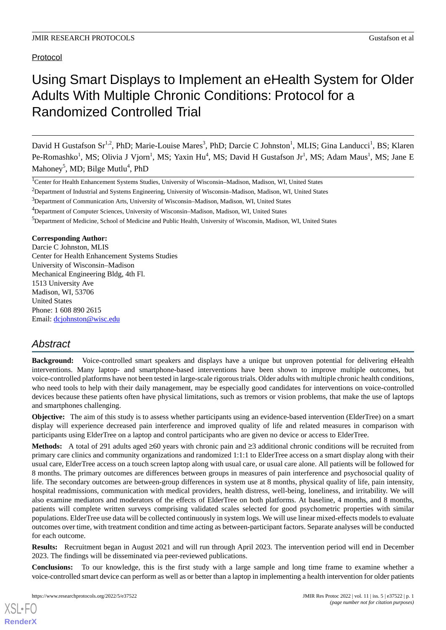Protocol

# Using Smart Displays to Implement an eHealth System for Older Adults With Multiple Chronic Conditions: Protocol for a Randomized Controlled Trial

David H Gustafson Sr<sup>1,2</sup>, PhD; Marie-Louise Mares<sup>3</sup>, PhD; Darcie C Johnston<sup>1</sup>, MLIS; Gina Landucci<sup>1</sup>, BS; Klaren Pe-Romashko<sup>1</sup>, MS; Olivia J Vjorn<sup>1</sup>, MS; Yaxin Hu<sup>4</sup>, MS; David H Gustafson Jr<sup>1</sup>, MS; Adam Maus<sup>1</sup>, MS; Jane E Mahoney<sup>5</sup>, MD; Bilge Mutlu<sup>4</sup>, PhD

#### **Corresponding Author:**

Darcie C Johnston, MLIS Center for Health Enhancement Systems Studies University of Wisconsin–Madison Mechanical Engineering Bldg, 4th Fl. 1513 University Ave Madison, WI, 53706 United States Phone: 1 608 890 2615 Email: [dcjohnston@wisc.edu](mailto:dcjohnston@wisc.edu)

### *Abstract*

**Background:** Voice-controlled smart speakers and displays have a unique but unproven potential for delivering eHealth interventions. Many laptop- and smartphone-based interventions have been shown to improve multiple outcomes, but voice-controlled platforms have not been tested in large-scale rigorous trials. Older adults with multiple chronic health conditions, who need tools to help with their daily management, may be especially good candidates for interventions on voice-controlled devices because these patients often have physical limitations, such as tremors or vision problems, that make the use of laptops and smartphones challenging.

**Objective:** The aim of this study is to assess whether participants using an evidence-based intervention (ElderTree) on a smart display will experience decreased pain interference and improved quality of life and related measures in comparison with participants using ElderTree on a laptop and control participants who are given no device or access to ElderTree.

**Methods:** A total of 291 adults aged ≥60 years with chronic pain and ≥3 additional chronic conditions will be recruited from primary care clinics and community organizations and randomized 1:1:1 to ElderTree access on a smart display along with their usual care, ElderTree access on a touch screen laptop along with usual care, or usual care alone. All patients will be followed for 8 months. The primary outcomes are differences between groups in measures of pain interference and psychosocial quality of life. The secondary outcomes are between-group differences in system use at 8 months, physical quality of life, pain intensity, hospital readmissions, communication with medical providers, health distress, well-being, loneliness, and irritability. We will also examine mediators and moderators of the effects of ElderTree on both platforms. At baseline, 4 months, and 8 months, patients will complete written surveys comprising validated scales selected for good psychometric properties with similar populations. ElderTree use data will be collected continuously in system logs. We will use linear mixed-effects models to evaluate outcomes over time, with treatment condition and time acting as between-participant factors. Separate analyses will be conducted for each outcome.

**Results:** Recruitment began in August 2021 and will run through April 2023. The intervention period will end in December 2023. The findings will be disseminated via peer-reviewed publications.

**Conclusions:** To our knowledge, this is the first study with a large sample and long time frame to examine whether a voice-controlled smart device can perform as well as or better than a laptop in implementing a health intervention for older patients

<sup>&</sup>lt;sup>1</sup>Center for Health Enhancement Systems Studies, University of Wisconsin–Madison, Madison, WI, United States

<sup>&</sup>lt;sup>2</sup>Department of Industrial and Systems Engineering, University of Wisconsin-Madison, Madison, WI, United States

<sup>&</sup>lt;sup>3</sup>Department of Communication Arts, University of Wisconsin–Madison, Madison, WI, United States

<sup>4</sup>Department of Computer Sciences, University of Wisconsin–Madison, Madison, WI, United States

 $<sup>5</sup>$ Department of Medicine, School of Medicine and Public Health, University of Wisconsin, Madison, WI, United States</sup>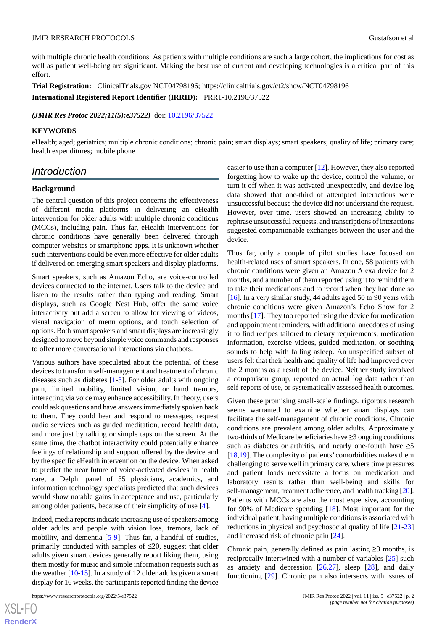with multiple chronic health conditions. As patients with multiple conditions are such a large cohort, the implications for cost as well as patient well-being are significant. Making the best use of current and developing technologies is a critical part of this effort.

**Trial Registration:** ClinicalTrials.gov NCT04798196; https://clinicaltrials.gov/ct2/show/NCT04798196

**International Registered Report Identifier (IRRID):** PRR1-10.2196/37522

(JMIR Res Protoc 2022;11(5):e37522) doi: [10.2196/37522](http://dx.doi.org/10.2196/37522)

#### **KEYWORDS**

eHealth; aged; geriatrics; multiple chronic conditions; chronic pain; smart displays; smart speakers; quality of life; primary care; health expenditures; mobile phone

### *Introduction*

#### **Background**

The central question of this project concerns the effectiveness of different media platforms in delivering an eHealth intervention for older adults with multiple chronic conditions (MCCs), including pain. Thus far, eHealth interventions for chronic conditions have generally been delivered through computer websites or smartphone apps. It is unknown whether such interventions could be even more effective for older adults if delivered on emerging smart speakers and display platforms.

Smart speakers, such as Amazon Echo, are voice-controlled devices connected to the internet. Users talk to the device and listen to the results rather than typing and reading. Smart displays, such as Google Nest Hub, offer the same voice interactivity but add a screen to allow for viewing of videos, visual navigation of menu options, and touch selection of options. Both smart speakers and smart displays are increasingly designed to move beyond simple voice commands and responses to offer more conversational interactions via chatbots.

Various authors have speculated about the potential of these devices to transform self-management and treatment of chronic diseases such as diabetes [[1](#page-11-0)-[3\]](#page-11-1). For older adults with ongoing pain, limited mobility, limited vision, or hand tremors, interacting via voice may enhance accessibility. In theory, users could ask questions and have answers immediately spoken back to them. They could hear and respond to messages, request audio services such as guided meditation, record health data, and more just by talking or simple taps on the screen. At the same time, the chatbot interactivity could potentially enhance feelings of relationship and support offered by the device and by the specific eHealth intervention on the device. When asked to predict the near future of voice-activated devices in health care, a Delphi panel of 35 physicians, academics, and information technology specialists predicted that such devices would show notable gains in acceptance and use, particularly among older patients, because of their simplicity of use [[4\]](#page-11-2).

Indeed, media reports indicate increasing use of speakers among older adults and people with vision loss, tremors, lack of mobility, and dementia [[5-](#page-11-3)[9](#page-11-4)]. Thus far, a handful of studies, primarily conducted with samples of ≤20, suggest that older adults given smart devices generally report liking them, using them mostly for music and simple information requests such as the weather  $[10-15]$  $[10-15]$  $[10-15]$ . In a study of 12 older adults given a smart display for 16 weeks, the participants reported finding the device

easier to use than a computer [[12\]](#page-11-6). However, they also reported forgetting how to wake up the device, control the volume, or turn it off when it was activated unexpectedly, and device log data showed that one-third of attempted interactions were unsuccessful because the device did not understand the request. However, over time, users showed an increasing ability to rephrase unsuccessful requests, and transcriptions of interactions suggested companionable exchanges between the user and the device.

Thus far, only a couple of pilot studies have focused on health-related uses of smart speakers. In one, 58 patients with chronic conditions were given an Amazon Alexa device for 2 months, and a number of them reported using it to remind them to take their medications and to record when they had done so [[16\]](#page-12-1). In a very similar study, 44 adults aged 50 to 90 years with chronic conditions were given Amazon's Echo Show for 2 months [\[17](#page-12-2)]. They too reported using the device for medication and appointment reminders, with additional anecdotes of using it to find recipes tailored to dietary requirements, medication information, exercise videos, guided meditation, or soothing sounds to help with falling asleep. An unspecified subset of users felt that their health and quality of life had improved over the 2 months as a result of the device. Neither study involved a comparison group, reported on actual log data rather than self-reports of use, or systematically assessed health outcomes.

Given these promising small-scale findings, rigorous research seems warranted to examine whether smart displays can facilitate the self-management of chronic conditions. Chronic conditions are prevalent among older adults. Approximately two-thirds of Medicare beneficiaries have ≥3 ongoing conditions such as diabetes or arthritis, and nearly one-fourth have  $\geq 5$ [[18,](#page-12-3)[19\]](#page-12-4). The complexity of patients' comorbidities makes them challenging to serve well in primary care, where time pressures and patient loads necessitate a focus on medication and laboratory results rather than well-being and skills for self-management, treatment adherence, and health tracking [\[20](#page-12-5)]. Patients with MCCs are also the most expensive, accounting for 90% of Medicare spending [\[18](#page-12-3)]. Most important for the individual patient, having multiple conditions is associated with reductions in physical and psychosocial quality of life [\[21](#page-12-6)[-23](#page-12-7)] and increased risk of chronic pain [[24\]](#page-12-8).

Chronic pain, generally defined as pain lasting  $\geq$ 3 months, is reciprocally intertwined with a number of variables [\[25](#page-12-9)] such as anxiety and depression  $[26,27]$  $[26,27]$  $[26,27]$ , sleep  $[28]$  $[28]$ , and daily functioning [[29\]](#page-12-13). Chronic pain also intersects with issues of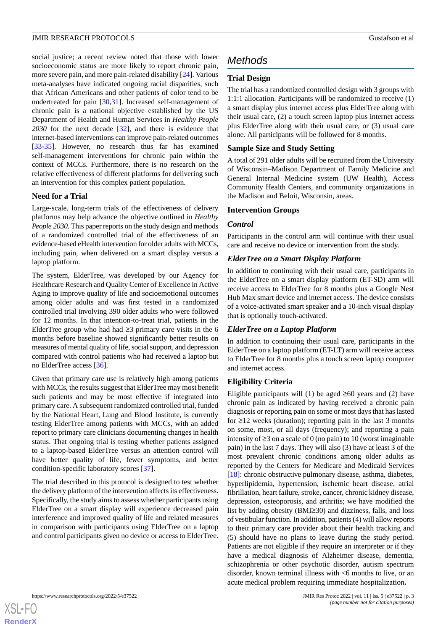social justice; a recent review noted that those with lower socioeconomic status are more likely to report chronic pain, more severe pain, and more pain-related disability [[24\]](#page-12-8). Various meta-analyses have indicated ongoing racial disparities, such that African Americans and other patients of color tend to be undertreated for pain [\[30](#page-12-14),[31\]](#page-12-15). Increased self-management of chronic pain is a national objective established by the US Department of Health and Human Services in *Healthy People 2030* for the next decade [[32\]](#page-12-16), and there is evidence that internet-based interventions can improve pain-related outcomes [[33](#page-12-17)[-35](#page-12-18)]. However, no research thus far has examined self-management interventions for chronic pain within the context of MCCs. Furthermore, there is no research on the relative effectiveness of different platforms for delivering such an intervention for this complex patient population.

#### **Need for a Trial**

Large-scale, long-term trials of the effectiveness of delivery platforms may help advance the objective outlined in *Healthy People 2030*. This paper reports on the study design and methods of a randomized controlled trial of the effectiveness of an evidence-based eHealth intervention for older adults with MCCs, including pain, when delivered on a smart display versus a laptop platform.

The system, ElderTree, was developed by our Agency for Healthcare Research and Quality Center of Excellence in Active Aging to improve quality of life and socioemotional outcomes among older adults and was first tested in a randomized controlled trial involving 390 older adults who were followed for 12 months. In that intention-to-treat trial, patients in the ElderTree group who had had  $\geq$ 3 primary care visits in the 6 months before baseline showed significantly better results on measures of mental quality of life, social support, and depression compared with control patients who had received a laptop but no ElderTree access [\[36](#page-12-19)].

Given that primary care use is relatively high among patients with MCCs, the results suggest that ElderTree may most benefit such patients and may be most effective if integrated into primary care. A subsequent randomized controlled trial, funded by the National Heart, Lung and Blood Institute, is currently testing ElderTree among patients with MCCs, with an added report to primary care clinicians documenting changes in health status. That ongoing trial is testing whether patients assigned to a laptop-based ElderTree versus an attention control will have better quality of life, fewer symptoms, and better condition-specific laboratory scores [\[37](#page-13-0)].

The trial described in this protocol is designed to test whether the delivery platform of the intervention affects its effectiveness. Specifically, the study aims to assess whether participants using ElderTree on a smart display will experience decreased pain interference and improved quality of life and related measures in comparison with participants using ElderTree on a laptop and control participants given no device or access to ElderTree.

## *Methods*

### **Trial Design**

The trial has a randomized controlled design with 3 groups with 1:1:1 allocation. Participants will be randomized to receive (1) a smart display plus internet access plus ElderTree along with their usual care, (2) a touch screen laptop plus internet access plus ElderTree along with their usual care, or (3) usual care alone. All participants will be followed for 8 months.

### **Sample Size and Study Setting**

A total of 291 older adults will be recruited from the University of Wisconsin–Madison Department of Family Medicine and General Internal Medicine system (UW Health), Access Community Health Centers, and community organizations in the Madison and Beloit, Wisconsin, areas.

### **Intervention Groups**

#### *Control*

Participants in the control arm will continue with their usual care and receive no device or intervention from the study.

### *ElderTree on a Smart Display Platform*

In addition to continuing with their usual care, participants in the ElderTree on a smart display platform (ET-SD) arm will receive access to ElderTree for 8 months plus a Google Nest Hub Max smart device and internet access. The device consists of a voice-activated smart speaker and a 10-inch visual display that is optionally touch-activated.

### *ElderTree on a Laptop Platform*

In addition to continuing their usual care, participants in the ElderTree on a laptop platform (ET-LT) arm will receive access to ElderTree for 8 months plus a touch screen laptop computer and internet access.

### **Eligibility Criteria**

Eligible participants will (1) be aged  $\geq 60$  years and (2) have chronic pain as indicated by having received a chronic pain diagnosis or reporting pain on some or most days that has lasted for ≥12 weeks (duration); reporting pain in the last 3 months on some, most, or all days (frequency); and reporting a pain intensity of  $\geq$ 3 on a scale of 0 (no pain) to 10 (worst imaginable pain) in the last 7 days. They will also (3) have at least 3 of the most prevalent chronic conditions among older adults as reported by the Centers for Medicare and Medicaid Services [[18\]](#page-12-3): chronic obstructive pulmonary disease, asthma, diabetes, hyperlipidemia, hypertension, ischemic heart disease, atrial fibrillation, heart failure, stroke, cancer, chronic kidney disease, depression, osteoporosis, and arthritis; we have modified the list by adding obesity (BMI≥30) and dizziness, falls, and loss of vestibular function. In addition, patients (4) will allow reports to their primary care provider about their health tracking and (5) should have no plans to leave during the study period. Patients are not eligible if they require an interpreter or if they have a medical diagnosis of Alzheimer disease, dementia, schizophrenia or other psychotic disorder, autism spectrum disorder, known terminal illness with <6 months to live, or an acute medical problem requiring immediate hospitalization**.**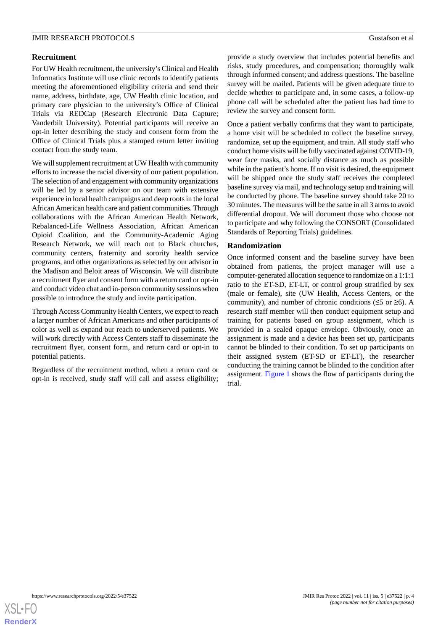#### **Recruitment**

For UW Health recruitment, the university's Clinical and Health Informatics Institute will use clinic records to identify patients meeting the aforementioned eligibility criteria and send their name, address, birthdate, age, UW Health clinic location, and primary care physician to the university's Office of Clinical Trials via REDCap (Research Electronic Data Capture; Vanderbilt University). Potential participants will receive an opt-in letter describing the study and consent form from the Office of Clinical Trials plus a stamped return letter inviting contact from the study team.

We will supplement recruitment at UW Health with community efforts to increase the racial diversity of our patient population. The selection of and engagement with community organizations will be led by a senior advisor on our team with extensive experience in local health campaigns and deep roots in the local African American health care and patient communities. Through collaborations with the African American Health Network, Rebalanced-Life Wellness Association, African American Opioid Coalition, and the Community-Academic Aging Research Network, we will reach out to Black churches, community centers, fraternity and sorority health service programs, and other organizations as selected by our advisor in the Madison and Beloit areas of Wisconsin. We will distribute a recruitment flyer and consent form with a return card or opt-in and conduct video chat and in-person community sessions when possible to introduce the study and invite participation.

Through Access Community Health Centers, we expect to reach a larger number of African Americans and other participants of color as well as expand our reach to underserved patients. We will work directly with Access Centers staff to disseminate the recruitment flyer, consent form, and return card or opt-in to potential patients.

Regardless of the recruitment method, when a return card or opt-in is received, study staff will call and assess eligibility; provide a study overview that includes potential benefits and risks, study procedures, and compensation; thoroughly walk through informed consent; and address questions. The baseline survey will be mailed. Patients will be given adequate time to decide whether to participate and, in some cases, a follow-up phone call will be scheduled after the patient has had time to review the survey and consent form.

Once a patient verbally confirms that they want to participate, a home visit will be scheduled to collect the baseline survey, randomize, set up the equipment, and train. All study staff who conduct home visits will be fully vaccinated against COVID-19, wear face masks, and socially distance as much as possible while in the patient's home. If no visit is desired, the equipment will be shipped once the study staff receives the completed baseline survey via mail, and technology setup and training will be conducted by phone. The baseline survey should take 20 to 30 minutes. The measures will be the same in all 3 arms to avoid differential dropout. We will document those who choose not to participate and why following the CONSORT (Consolidated Standards of Reporting Trials) guidelines.

#### **Randomization**

Once informed consent and the baseline survey have been obtained from patients, the project manager will use a computer-generated allocation sequence to randomize on a 1:1:1 ratio to the ET-SD, ET-LT, or control group stratified by sex (male or female), site (UW Health, Access Centers, or the community), and number of chronic conditions ( $\leq 5$  or  $\geq 6$ ). A research staff member will then conduct equipment setup and training for patients based on group assignment, which is provided in a sealed opaque envelope. Obviously, once an assignment is made and a device has been set up, participants cannot be blinded to their condition. To set up participants on their assigned system (ET-SD or ET-LT), the researcher conducting the training cannot be blinded to the condition after assignment. [Figure 1](#page-4-0) shows the flow of participants during the trial.

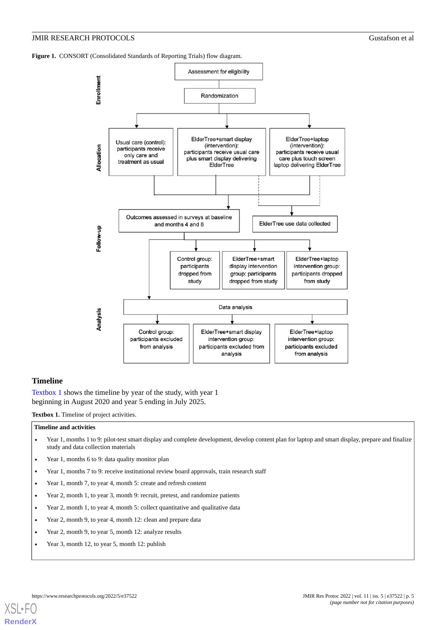<span id="page-4-0"></span>**Figure 1.** CONSORT (Consolidated Standards of Reporting Trials) flow diagram.



### <span id="page-4-1"></span>**Timeline**

[Textbox 1](#page-4-1) shows the timeline by year of the study, with year 1 beginning in August 2020 and year 5 ending in July 2025.

**Textbox 1.** Timeline of project activities.

#### **Timeline and activities** • Year 1, months 1 to 9: pilot-test smart display and complete development, develop content plan for laptop and smart display, prepare and finalize study and data collection materials

- Year 1, months 6 to 9: data quality monitor plan
- Year 1, months 7 to 9: receive institutional review board approvals, train research staff
- Year 1, month 7, to year 4, month 5: create and refresh content
- Year 2, month 1, to year 3, month 9: recruit, pretest, and randomize patients
- Year 2, month 1, to year 4, month 5: collect quantitative and qualitative data
- Year 2, month 9, to year 4, month 12: clean and prepare data
- Year 2, month 9, to year 5, month 12: analyze results
- Year 3, month 12, to year 5, month 12: publish

**[RenderX](http://www.renderx.com/)**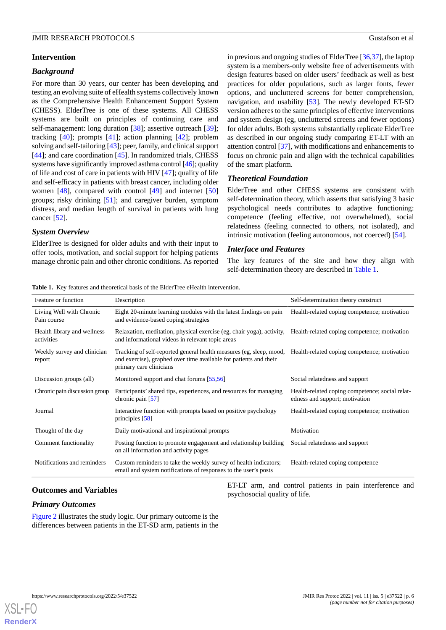#### **Intervention**

### *Background*

For more than 30 years, our center has been developing and testing an evolving suite of eHealth systems collectively known as the Comprehensive Health Enhancement Support System (CHESS). ElderTree is one of these systems. All CHESS systems are built on principles of continuing care and self-management: long duration [[38\]](#page-13-1); assertive outreach [[39\]](#page-13-2); tracking [\[40](#page-13-3)]; prompts [[41\]](#page-13-4); action planning [[42\]](#page-13-5); problem solving and self-tailoring [\[43](#page-13-6)]; peer, family, and clinical support [[44\]](#page-13-7); and care coordination [[45\]](#page-13-8). In randomized trials, CHESS systems have significantly improved asthma control [\[46\]](#page-13-9); quality of life and cost of care in patients with HIV [[47\]](#page-13-10); quality of life and self-efficacy in patients with breast cancer, including older women [[48\]](#page-13-11), compared with control [[49\]](#page-13-12) and internet [\[50](#page-13-13)] groups; risky drinking [\[51](#page-13-14)]; and caregiver burden, symptom distress, and median length of survival in patients with lung cancer [\[52](#page-13-15)].

#### *System Overview*

<span id="page-5-0"></span>ElderTree is designed for older adults and with their input to offer tools, motivation, and social support for helping patients manage chronic pain and other chronic conditions. As reported

in previous and ongoing studies of ElderTree [\[36](#page-12-19)[,37](#page-13-0)], the laptop system is a members-only website free of advertisements with design features based on older users' feedback as well as best practices for older populations, such as larger fonts, fewer options, and uncluttered screens for better comprehension, navigation, and usability [[53\]](#page-13-16). The newly developed ET-SD version adheres to the same principles of effective interventions and system design (eg, uncluttered screens and fewer options) for older adults. Both systems substantially replicate ElderTree as described in our ongoing study comparing ET-LT with an attention control [[37\]](#page-13-0), with modifications and enhancements to focus on chronic pain and align with the technical capabilities of the smart platform.

#### *Theoretical Foundation*

ElderTree and other CHESS systems are consistent with self-determination theory, which asserts that satisfying 3 basic psychological needs contributes to adaptive functioning: competence (feeling effective, not overwhelmed), social relatedness (feeling connected to others, not isolated), and intrinsic motivation (feeling autonomous, not coerced) [\[54](#page-13-17)].

#### *Interface and Features*

The key features of the site and how they align with self-determination theory are described in [Table 1.](#page-5-0)

**Table 1.** Key features and theoretical basis of the ElderTree eHealth intervention.

| Feature or function                       | Description                                                                                                                                                         | Self-determination theory construct                                               |  |
|-------------------------------------------|---------------------------------------------------------------------------------------------------------------------------------------------------------------------|-----------------------------------------------------------------------------------|--|
| Living Well with Chronic<br>Pain course   | Eight 20-minute learning modules with the latest findings on pain<br>and evidence-based coping strategies                                                           | Health-related coping competence; motivation                                      |  |
| Health library and wellness<br>activities | Relaxation, meditation, physical exercise (eg, chair yoga), activity,<br>and informational videos in relevant topic areas                                           | Health-related coping competence; motivation                                      |  |
| Weekly survey and clinician<br>report     | Tracking of self-reported general health measures (eg, sleep, mood,<br>and exercise), graphed over time available for patients and their<br>primary care clinicians | Health-related coping competence; motivation                                      |  |
| Discussion groups (all)                   | Monitored support and chat forums [55,56]                                                                                                                           | Social relatedness and support                                                    |  |
| Chronic pain discussion group             | Participants' shared tips, experiences, and resources for managing<br>chronic pain $[57]$                                                                           | Health-related coping competence; social relat-<br>edness and support; motivation |  |
| Journal                                   | Interactive function with prompts based on positive psychology<br>principles $[58]$                                                                                 | Health-related coping competence; motivation                                      |  |
| Thought of the day                        | Daily motivational and inspirational prompts                                                                                                                        | Motivation                                                                        |  |
| Comment functionality                     | Posting function to promote engagement and relationship building<br>on all information and activity pages                                                           | Social relatedness and support                                                    |  |
| Notifications and reminders               | Custom reminders to take the weekly survey of health indicators;<br>email and system notifications of responses to the user's posts                                 | Health-related coping competence                                                  |  |

#### **Outcomes and Variables**

ET-LT arm, and control patients in pain interference and psychosocial quality of life.

#### *Primary Outcomes*

[Figure 2](#page-6-0) illustrates the study logic. Our primary outcome is the differences between patients in the ET-SD arm, patients in the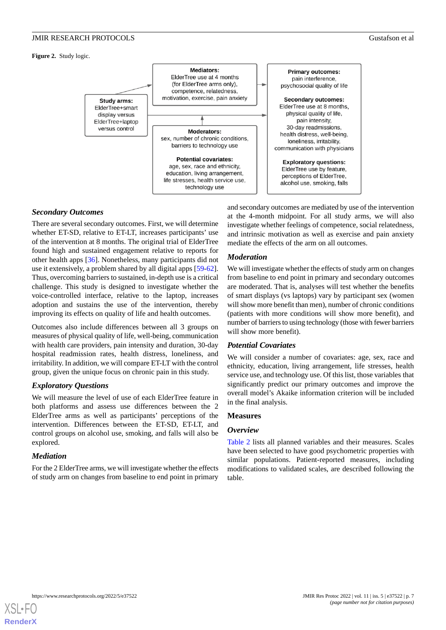<span id="page-6-0"></span>**Figure 2.** Study logic.



#### *Secondary Outcomes*

There are several secondary outcomes. First, we will determine whether ET-SD, relative to ET-LT, increases participants' use of the intervention at 8 months. The original trial of ElderTree found high and sustained engagement relative to reports for other health apps [\[36](#page-12-19)]. Nonetheless, many participants did not use it extensively, a problem shared by all digital apps [\[59](#page-14-1)-[62\]](#page-14-2). Thus, overcoming barriers to sustained, in-depth use is a critical challenge. This study is designed to investigate whether the voice-controlled interface, relative to the laptop, increases adoption and sustains the use of the intervention, thereby improving its effects on quality of life and health outcomes.

Outcomes also include differences between all 3 groups on measures of physical quality of life, well-being, communication with health care providers, pain intensity and duration, 30-day hospital readmission rates, health distress, loneliness, and irritability. In addition, we will compare ET-LT with the control group, given the unique focus on chronic pain in this study.

#### *Exploratory Questions*

We will measure the level of use of each ElderTree feature in both platforms and assess use differences between the 2 ElderTree arms as well as participants' perceptions of the intervention. Differences between the ET-SD, ET-LT, and control groups on alcohol use, smoking, and falls will also be explored.

#### *Mediation*

For the 2 ElderTree arms, we will investigate whether the effects of study arm on changes from baseline to end point in primary

and secondary outcomes are mediated by use of the intervention at the 4-month midpoint. For all study arms, we will also investigate whether feelings of competence, social relatedness, and intrinsic motivation as well as exercise and pain anxiety mediate the effects of the arm on all outcomes.

#### *Moderation*

We will investigate whether the effects of study arm on changes from baseline to end point in primary and secondary outcomes are moderated. That is, analyses will test whether the benefits of smart displays (vs laptops) vary by participant sex (women will show more benefit than men), number of chronic conditions (patients with more conditions will show more benefit), and number of barriers to using technology (those with fewer barriers will show more benefit).

#### *Potential Covariates*

We will consider a number of covariates: age, sex, race and ethnicity, education, living arrangement, life stresses, health service use, and technology use. Of this list, those variables that significantly predict our primary outcomes and improve the overall model's Akaike information criterion will be included in the final analysis.

#### **Measures**

#### *Overview*

[Table 2](#page-7-0) lists all planned variables and their measures. Scales have been selected to have good psychometric properties with similar populations. Patient-reported measures, including modifications to validated scales, are described following the table.

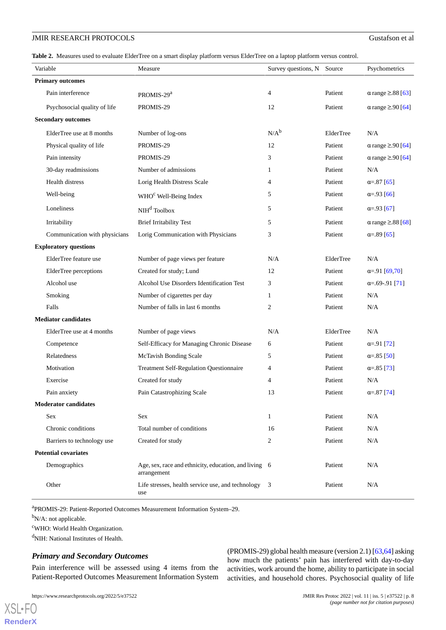<span id="page-7-0"></span>**Table 2.** Measures used to evaluate ElderTree on a smart display platform versus ElderTree on a laptop platform versus control.

|                              | Variable                      | Measure                                                              | Survey questions, N Source |           | Psychometrics                  |
|------------------------------|-------------------------------|----------------------------------------------------------------------|----------------------------|-----------|--------------------------------|
| <b>Primary outcomes</b>      |                               |                                                                      |                            |           |                                |
|                              | Pain interference             | PROMIS-29 <sup>a</sup>                                               | $\overline{4}$             | Patient   | $\alpha$ range $\geq$ .88 [63] |
|                              | Psychosocial quality of life  | PROMIS-29                                                            | 12                         | Patient   | $\alpha$ range $\geq$ .90 [64] |
| <b>Secondary outcomes</b>    |                               |                                                                      |                            |           |                                |
|                              | ElderTree use at 8 months     | Number of log-ons                                                    | $N/A^b$                    | ElderTree | N/A                            |
|                              | Physical quality of life      | PROMIS-29                                                            | 12                         | Patient   | $\alpha$ range $\geq$ .90 [64] |
|                              | Pain intensity                | PROMIS-29                                                            | 3                          | Patient   | $\alpha$ range $\geq$ .90 [64] |
|                              | 30-day readmissions           | Number of admissions                                                 | 1                          | Patient   | N/A                            |
|                              | Health distress               | Lorig Health Distress Scale                                          | 4                          | Patient   | $\alpha = .87$ [65]            |
|                              | Well-being                    | WHO <sup>c</sup> Well-Being Index                                    | 5                          | Patient   | $\alpha = .93$ [66]            |
|                              | Loneliness                    | NIH <sup>d</sup> Toolbox                                             | 5                          | Patient   | $\alpha = .93$ [67]            |
|                              | Irritability                  | <b>Brief Irritability Test</b>                                       | 5                          | Patient   | $\alpha$ range $\geq$ .88 [68] |
|                              | Communication with physicians | Lorig Communication with Physicians                                  | 3                          | Patient   | $\alpha = 0.89$ [65]           |
| <b>Exploratory questions</b> |                               |                                                                      |                            |           |                                |
|                              | ElderTree feature use         | Number of page views per feature                                     | N/A                        | ElderTree | N/A                            |
|                              | ElderTree perceptions         | Created for study; Lund                                              | 12                         | Patient   | $\alpha = 91$ [69,70]          |
|                              | Alcohol use                   | Alcohol Use Disorders Identification Test                            | 3                          | Patient   | $\alpha = .69-.91$ [71]        |
|                              | Smoking                       | Number of cigarettes per day                                         | 1                          | Patient   | N/A                            |
|                              | Falls                         | Number of falls in last 6 months                                     | 2                          | Patient   | N/A                            |
| <b>Mediator candidates</b>   |                               |                                                                      |                            |           |                                |
|                              | ElderTree use at 4 months     | Number of page views                                                 | N/A                        | ElderTree | N/A                            |
|                              | Competence                    | Self-Efficacy for Managing Chronic Disease                           | 6                          | Patient   | $\alpha = .91$ [72]            |
|                              | Relatedness                   | McTavish Bonding Scale                                               | 5                          | Patient   | $\alpha = .85$ [50]            |
|                              | Motivation                    | <b>Treatment Self-Regulation Questionnaire</b>                       | 4                          | Patient   | $\alpha = 0.85$ [73]           |
|                              | Exercise                      | Created for study                                                    | 4                          | Patient   | N/A                            |
|                              | Pain anxiety                  | Pain Catastrophizing Scale                                           | 13                         | Patient   | $\alpha = 87$ [74]             |
| <b>Moderator candidates</b>  |                               |                                                                      |                            |           |                                |
|                              | Sex                           | Sex                                                                  | 1                          | Patient   | N/A                            |
|                              | Chronic conditions            | Total number of conditions                                           | 16                         | Patient   | N/A                            |
|                              | Barriers to technology use    | Created for study                                                    | 2                          | Patient   | N/A                            |
| <b>Potential covariates</b>  |                               |                                                                      |                            |           |                                |
|                              | Demographics                  | Age, sex, race and ethnicity, education, and living 6<br>arrangement |                            | Patient   | N/A                            |
|                              | Other                         | Life stresses, health service use, and technology<br>use             | 3                          | Patient   | N/A                            |

<sup>a</sup>PROMIS-29: Patient-Reported Outcomes Measurement Information System-29.

<sup>b</sup>N/A: not applicable.

[XSL](http://www.w3.org/Style/XSL)•FO **[RenderX](http://www.renderx.com/)**

<sup>c</sup>WHO: World Health Organization.

<sup>d</sup>NIH: National Institutes of Health.

#### *Primary and Secondary Outcomes*

Pain interference will be assessed using 4 items from the Patient-Reported Outcomes Measurement Information System

https://www.researchprotocols.org/2022/5/e37522  $\mu$  .8 JMIR Res Protoc 2022 | vol. 11 | iss. 5 | e37522 | p. 8

(PROMIS-29) global health measure (version 2.1) [\[63](#page-14-3),[64](#page-14-4)] asking how much the patients' pain has interfered with day-to-day activities, work around the home, ability to participate in social activities, and household chores. Psychosocial quality of life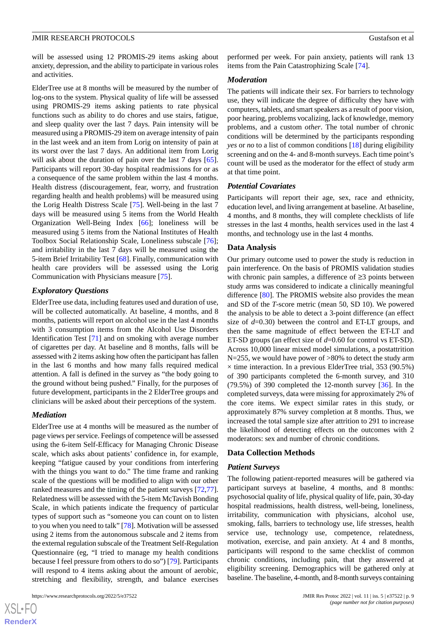will be assessed using 12 PROMIS-29 items asking about anxiety, depression, and the ability to participate in various roles and activities.

ElderTree use at 8 months will be measured by the number of log-ons to the system. Physical quality of life will be assessed using PROMIS-29 items asking patients to rate physical functions such as ability to do chores and use stairs, fatigue, and sleep quality over the last 7 days. Pain intensity will be measured using a PROMIS-29 item on average intensity of pain in the last week and an item from Lorig on intensity of pain at its worst over the last 7 days. An additional item from Lorig will ask about the duration of pain over the last 7 days [[65\]](#page-14-5). Participants will report 30-day hospital readmissions for or as a consequence of the same problem within the last 4 months. Health distress (discouragement, fear, worry, and frustration regarding health and health problems) will be measured using the Lorig Health Distress Scale [[75\]](#page-14-15). Well-being in the last 7 days will be measured using 5 items from the World Health Organization Well-Being Index [\[66](#page-14-6)]; loneliness will be measured using 5 items from the National Institutes of Health Toolbox Social Relationship Scale, Loneliness subscale [[76\]](#page-14-16); and irritability in the last 7 days will be measured using the 5-item Brief Irritability Test [[68\]](#page-14-8). Finally, communication with health care providers will be assessed using the Lorig Communication with Physicians measure [\[75](#page-14-15)].

#### *Exploratory Questions*

ElderTree use data, including features used and duration of use, will be collected automatically. At baseline, 4 months, and 8 months, patients will report on alcohol use in the last 4 months with 3 consumption items from the Alcohol Use Disorders Identification Test [\[71](#page-14-11)] and on smoking with average number of cigarettes per day. At baseline and 8 months, falls will be assessed with 2 items asking how often the participant has fallen in the last 6 months and how many falls required medical attention. A fall is defined in the survey as "the body going to the ground without being pushed." Finally, for the purposes of future development, participants in the 2 ElderTree groups and clinicians will be asked about their perceptions of the system.

#### *Mediation*

ElderTree use at 4 months will be measured as the number of page views per service. Feelings of competence will be assessed using the 6-item Self-Efficacy for Managing Chronic Disease scale, which asks about patients' confidence in, for example, keeping "fatigue caused by your conditions from interfering with the things you want to do." The time frame and ranking scale of the questions will be modified to align with our other ranked measures and the timing of the patient surveys [\[72](#page-14-12),[77\]](#page-14-17). Relatedness will be assessed with the 5-item McTavish Bonding Scale, in which patients indicate the frequency of particular types of support such as "someone you can count on to listen to you when you need to talk" [\[78](#page-14-18)]. Motivation will be assessed using 2 items from the autonomous subscale and 2 items from the external regulation subscale of the Treatment Self-Regulation Questionnaire (eg, "I tried to manage my health conditions because I feel pressure from others to do so") [[79\]](#page-14-19). Participants will respond to 4 items asking about the amount of aerobic, stretching and flexibility, strength, and balance exercises

 $XS$  • FC **[RenderX](http://www.renderx.com/)** performed per week. For pain anxiety, patients will rank 13 items from the Pain Catastrophizing Scale [[74\]](#page-14-14).

#### *Moderation*

The patients will indicate their sex. For barriers to technology use, they will indicate the degree of difficulty they have with computers, tablets, and smart speakers as a result of poor vision, poor hearing, problems vocalizing, lack of knowledge, memory problems, and a custom *other*. The total number of chronic conditions will be determined by the participants responding *yes* or *no* to a list of common conditions [[18\]](#page-12-3) during eligibility screening and on the 4- and 8-month surveys. Each time point's count will be used as the moderator for the effect of study arm at that time point.

#### *Potential Covariates*

Participants will report their age, sex, race and ethnicity, education level, and living arrangement at baseline. At baseline, 4 months, and 8 months, they will complete checklists of life stresses in the last 4 months, health services used in the last 4 months, and technology use in the last 4 months.

#### **Data Analysis**

Our primary outcome used to power the study is reduction in pain interference. On the basis of PROMIS validation studies with chronic pain samples, a difference of ≥3 points between study arms was considered to indicate a clinically meaningful difference [\[80](#page-14-20)]. The PROMIS website also provides the mean and SD of the *T*-score metric (mean 50, SD 10). We powered the analysis to be able to detect a 3-point difference (an effect size of *d*=0.30) between the control and ET-LT groups, and then the same magnitude of effect between the ET-LT and ET-SD groups (an effect size of *d*=0.60 for control vs ET-SD). Across 10,000 linear mixed model simulations, a postattrition N=255, we would have power of >80% to detect the study arm  $\times$  time interaction. In a previous ElderTree trial, 353 (90.5%) of 390 participants completed the 6-month survey, and 310  $(79.5\%)$  of 390 completed the 12-month survey  $[36]$  $[36]$ . In the completed surveys, data were missing for approximately 2% of the core items. We expect similar rates in this study, or approximately 87% survey completion at 8 months. Thus, we increased the total sample size after attrition to 291 to increase the likelihood of detecting effects on the outcomes with 2 moderators: sex and number of chronic conditions.

#### **Data Collection Methods**

#### *Patient Surveys*

The following patient-reported measures will be gathered via participant surveys at baseline, 4 months, and 8 months: psychosocial quality of life, physical quality of life, pain, 30-day hospital readmissions, health distress, well-being, loneliness, irritability, communication with physicians, alcohol use, smoking, falls, barriers to technology use, life stresses, health service use, technology use, competence, relatedness, motivation, exercise, and pain anxiety. At 4 and 8 months, participants will respond to the same checklist of common chronic conditions, including pain, that they answered at eligibility screening. Demographics will be gathered only at baseline. The baseline, 4-month, and 8-month surveys containing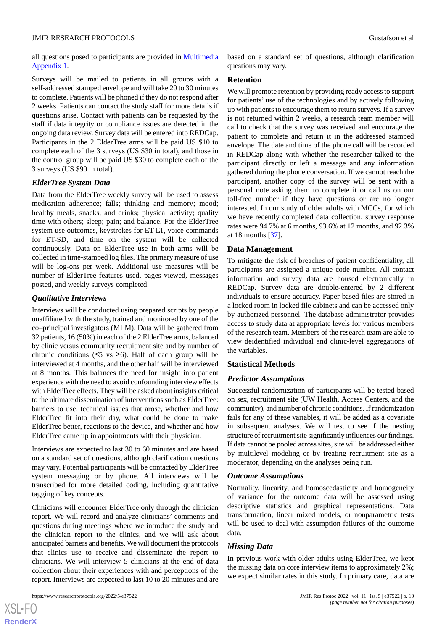all questions posed to participants are provided in [Multimedia](#page-11-7) [Appendix 1.](#page-11-7)

Surveys will be mailed to patients in all groups with a self-addressed stamped envelope and will take 20 to 30 minutes to complete. Patients will be phoned if they do not respond after 2 weeks. Patients can contact the study staff for more details if questions arise. Contact with patients can be requested by the staff if data integrity or compliance issues are detected in the ongoing data review. Survey data will be entered into REDCap. Participants in the 2 ElderTree arms will be paid US \$10 to complete each of the 3 surveys (US \$30 in total), and those in the control group will be paid US \$30 to complete each of the 3 surveys (US \$90 in total).

#### *ElderTree System Data*

Data from the ElderTree weekly survey will be used to assess medication adherence; falls; thinking and memory; mood; healthy meals, snacks, and drinks; physical activity; quality time with others; sleep; pain; and balance. For the ElderTree system use outcomes, keystrokes for ET-LT, voice commands for ET-SD, and time on the system will be collected continuously. Data on ElderTree use in both arms will be collected in time-stamped log files. The primary measure of use will be log-ons per week. Additional use measures will be number of ElderTree features used, pages viewed, messages posted, and weekly surveys completed.

#### *Qualitative Interviews*

Interviews will be conducted using prepared scripts by people unaffiliated with the study, trained and monitored by one of the co–principal investigators (MLM). Data will be gathered from 32 patients, 16 (50%) in each of the 2 ElderTree arms, balanced by clinic versus community recruitment site and by number of chronic conditions ( $\leq 5$  vs  $\geq 6$ ). Half of each group will be interviewed at 4 months, and the other half will be interviewed at 8 months. This balances the need for insight into patient experience with the need to avoid confounding interview effects with ElderTree effects. They will be asked about insights critical to the ultimate dissemination of interventions such as ElderTree: barriers to use, technical issues that arose, whether and how ElderTree fit into their day, what could be done to make ElderTree better, reactions to the device, and whether and how ElderTree came up in appointments with their physician.

Interviews are expected to last 30 to 60 minutes and are based on a standard set of questions, although clarification questions may vary. Potential participants will be contacted by ElderTree system messaging or by phone. All interviews will be transcribed for more detailed coding, including quantitative tagging of key concepts.

Clinicians will encounter ElderTree only through the clinician report. We will record and analyze clinicians' comments and questions during meetings where we introduce the study and the clinician report to the clinics, and we will ask about anticipated barriers and benefits. We will document the protocols that clinics use to receive and disseminate the report to clinicians. We will interview 5 clinicians at the end of data collection about their experiences with and perceptions of the report. Interviews are expected to last 10 to 20 minutes and are

 $XS$  $\cdot$ FC **[RenderX](http://www.renderx.com/)** based on a standard set of questions, although clarification questions may vary.

#### **Retention**

We will promote retention by providing ready access to support for patients' use of the technologies and by actively following up with patients to encourage them to return surveys. If a survey is not returned within 2 weeks, a research team member will call to check that the survey was received and encourage the patient to complete and return it in the addressed stamped envelope. The date and time of the phone call will be recorded in REDCap along with whether the researcher talked to the participant directly or left a message and any information gathered during the phone conversation. If we cannot reach the participant, another copy of the survey will be sent with a personal note asking them to complete it or call us on our toll-free number if they have questions or are no longer interested. In our study of older adults with MCCs, for which we have recently completed data collection, survey response rates were 94.7% at 6 months, 93.6% at 12 months, and 92.3% at 18 months [\[37](#page-13-0)].

#### **Data Management**

To mitigate the risk of breaches of patient confidentiality, all participants are assigned a unique code number. All contact information and survey data are housed electronically in REDCap. Survey data are double-entered by 2 different individuals to ensure accuracy. Paper-based files are stored in a locked room in locked file cabinets and can be accessed only by authorized personnel. The database administrator provides access to study data at appropriate levels for various members of the research team. Members of the research team are able to view deidentified individual and clinic-level aggregations of the variables.

#### **Statistical Methods**

#### *Predictor Assumptions*

Successful randomization of participants will be tested based on sex, recruitment site (UW Health, Access Centers, and the community), and number of chronic conditions. If randomization fails for any of these variables, it will be added as a covariate in subsequent analyses. We will test to see if the nesting structure of recruitment site significantly influences our findings. If data cannot be pooled across sites, site will be addressed either by multilevel modeling or by treating recruitment site as a moderator, depending on the analyses being run.

#### *Outcome Assumptions*

Normality, linearity, and homoscedasticity and homogeneity of variance for the outcome data will be assessed using descriptive statistics and graphical representations. Data transformation, linear mixed models, or nonparametric tests will be used to deal with assumption failures of the outcome data.

#### *Missing Data*

In previous work with older adults using ElderTree, we kept the missing data on core interview items to approximately 2%; we expect similar rates in this study. In primary care, data are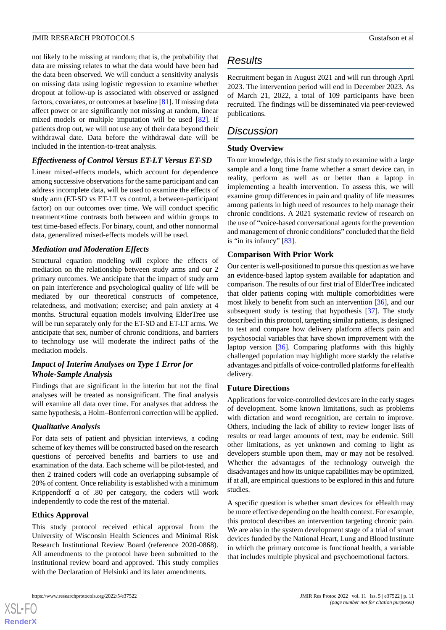not likely to be missing at random; that is, the probability that data are missing relates to what the data would have been had the data been observed. We will conduct a sensitivity analysis on missing data using logistic regression to examine whether dropout at follow-up is associated with observed or assigned factors, covariates, or outcomes at baseline [[81\]](#page-15-0). If missing data affect power or are significantly not missing at random, linear mixed models or multiple imputation will be used [[82\]](#page-15-1). If patients drop out, we will not use any of their data beyond their withdrawal date. Data before the withdrawal date will be included in the intention-to-treat analysis.

#### *Effectiveness of Control Versus ET-LT Versus ET-SD*

Linear mixed-effects models, which account for dependence among successive observations for the same participant and can address incomplete data, will be used to examine the effects of study arm (ET-SD vs ET-LT vs control, a between-participant factor) on our outcomes over time. We will conduct specific treatment×time contrasts both between and within groups to test time-based effects. For binary, count, and other nonnormal data, generalized mixed-effects models will be used.

#### *Mediation and Moderation Effects*

Structural equation modeling will explore the effects of mediation on the relationship between study arms and our 2 primary outcomes. We anticipate that the impact of study arm on pain interference and psychological quality of life will be mediated by our theoretical constructs of competence, relatedness, and motivation; exercise; and pain anxiety at 4 months. Structural equation models involving ElderTree use will be run separately only for the ET-SD and ET-LT arms. We anticipate that sex, number of chronic conditions, and barriers to technology use will moderate the indirect paths of the mediation models.

### *Impact of Interim Analyses on Type 1 Error for Whole-Sample Analysis*

Findings that are significant in the interim but not the final analyses will be treated as nonsignificant. The final analysis will examine all data over time. For analyses that address the same hypothesis, a Holm–Bonferroni correction will be applied.

#### *Qualitative Analysis*

For data sets of patient and physician interviews, a coding scheme of key themes will be constructed based on the research questions of perceived benefits and barriers to use and examination of the data. Each scheme will be pilot-tested, and then 2 trained coders will code an overlapping subsample of 20% of content. Once reliability is established with a minimum Krippendorff  $\alpha$  of .80 per category, the coders will work independently to code the rest of the material.

#### **Ethics Approval**

 $XS$  • FO **[RenderX](http://www.renderx.com/)**

This study protocol received ethical approval from the University of Wisconsin Health Sciences and Minimal Risk Research Institutional Review Board (reference 2020-0868). All amendments to the protocol have been submitted to the institutional review board and approved. This study complies with the Declaration of Helsinki and its later amendments.

### *Results*

Recruitment began in August 2021 and will run through April 2023. The intervention period will end in December 2023. As of March 21, 2022, a total of 109 participants have been recruited. The findings will be disseminated via peer-reviewed publications.

### *Discussion*

#### **Study Overview**

To our knowledge, this is the first study to examine with a large sample and a long time frame whether a smart device can, in reality, perform as well as or better than a laptop in implementing a health intervention. To assess this, we will examine group differences in pain and quality of life measures among patients in high need of resources to help manage their chronic conditions. A 2021 systematic review of research on the use of "voice-based conversational agents for the prevention and management of chronic conditions" concluded that the field is "in its infancy" [[83\]](#page-15-2).

#### **Comparison With Prior Work**

Our center is well-positioned to pursue this question as we have an evidence-based laptop system available for adaptation and comparison. The results of our first trial of ElderTree indicated that older patients coping with multiple comorbidities were most likely to benefit from such an intervention [\[36](#page-12-19)], and our subsequent study is testing that hypothesis [[37\]](#page-13-0). The study described in this protocol, targeting similar patients, is designed to test and compare how delivery platform affects pain and psychosocial variables that have shown improvement with the laptop version [\[36](#page-12-19)]. Comparing platforms with this highly challenged population may highlight more starkly the relative advantages and pitfalls of voice-controlled platforms for eHealth delivery.

#### **Future Directions**

Applications for voice-controlled devices are in the early stages of development. Some known limitations, such as problems with dictation and word recognition, are certain to improve. Others, including the lack of ability to review longer lists of results or read larger amounts of text, may be endemic. Still other limitations, as yet unknown and coming to light as developers stumble upon them, may or may not be resolved. Whether the advantages of the technology outweigh the disadvantages and how its unique capabilities may be optimized, if at all, are empirical questions to be explored in this and future studies.

A specific question is whether smart devices for eHealth may be more effective depending on the health context. For example, this protocol describes an intervention targeting chronic pain. We are also in the system development stage of a trial of smart devices funded by the National Heart, Lung and Blood Institute in which the primary outcome is functional health, a variable that includes multiple physical and psychoemotional factors.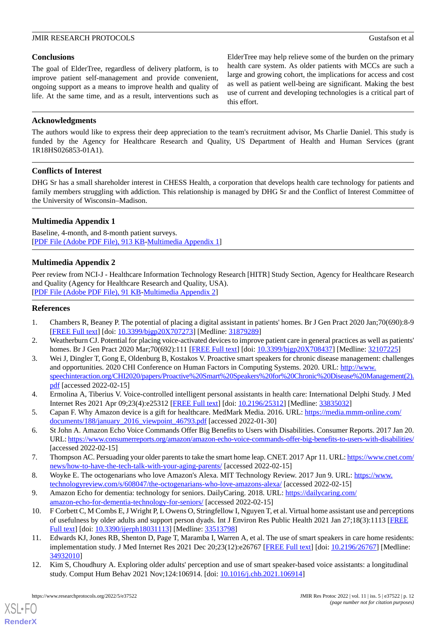#### **Conclusions**

The goal of ElderTree, regardless of delivery platform, is to improve patient self-management and provide convenient, ongoing support as a means to improve health and quality of life. At the same time, and as a result, interventions such as

ElderTree may help relieve some of the burden on the primary health care system. As older patients with MCCs are such a large and growing cohort, the implications for access and cost as well as patient well-being are significant. Making the best use of current and developing technologies is a critical part of this effort.

#### **Acknowledgments**

The authors would like to express their deep appreciation to the team's recruitment advisor, Ms Charlie Daniel. This study is funded by the Agency for Healthcare Research and Quality, US Department of Health and Human Services (grant 1R18HS026853-01A1).

#### **Conflicts of Interest**

<span id="page-11-7"></span>DHG Sr has a small shareholder interest in CHESS Health, a corporation that develops health care technology for patients and family members struggling with addiction. This relationship is managed by DHG Sr and the Conflict of Interest Committee of the University of Wisconsin–Madison.

### **Multimedia Appendix 1**

Baseline, 4-month, and 8-month patient surveys. [[PDF File \(Adobe PDF File\), 913 KB](https://jmir.org/api/download?alt_name=resprot_v11i5e37522_app1.pdf&filename=f957ea3b0217281b8e9ea16e78f7cc84.pdf)-[Multimedia Appendix 1\]](https://jmir.org/api/download?alt_name=resprot_v11i5e37522_app1.pdf&filename=f957ea3b0217281b8e9ea16e78f7cc84.pdf)

### **Multimedia Appendix 2**

<span id="page-11-0"></span>Peer review from NCI-J - Healthcare Information Technology Research [HITR] Study Section, Agency for Healthcare Research and Quality (Agency for Healthcare Research and Quality, USA). [[PDF File \(Adobe PDF File\), 91 KB](https://jmir.org/api/download?alt_name=resprot_v11i5e37522_app2.pdf&filename=fdd10aaafb4b6d09873df4c0a0987696.pdf)-[Multimedia Appendix 2\]](https://jmir.org/api/download?alt_name=resprot_v11i5e37522_app2.pdf&filename=fdd10aaafb4b6d09873df4c0a0987696.pdf)

#### **References**

- <span id="page-11-1"></span>1. Chambers R, Beaney P. The potential of placing a digital assistant in patients' homes. Br J Gen Pract 2020 Jan;70(690):8-9 [[FREE Full text](https://bjgp.org/cgi/pmidlookup?view=long&pmid=31879289)] [doi: [10.3399/bjgp20X707273\]](http://dx.doi.org/10.3399/bjgp20X707273) [Medline: [31879289\]](http://www.ncbi.nlm.nih.gov/entrez/query.fcgi?cmd=Retrieve&db=PubMed&list_uids=31879289&dopt=Abstract)
- 2. Weatherburn CJ. Potential for placing voice-activated devices to improve patient care in general practices as well as patients' homes. Br J Gen Pract 2020 Mar;70(692):111 [[FREE Full text](https://bjgp.org/cgi/pmidlookup?view=long&pmid=32107225)] [doi: [10.3399/bjgp20X708437\]](http://dx.doi.org/10.3399/bjgp20X708437) [Medline: [32107225\]](http://www.ncbi.nlm.nih.gov/entrez/query.fcgi?cmd=Retrieve&db=PubMed&list_uids=32107225&dopt=Abstract)
- <span id="page-11-3"></span><span id="page-11-2"></span>3. Wei J, Dingler T, Gong E, Oldenburg B, Kostakos V. Proactive smart speakers for chronic disease management: challenges and opportunities. 2020 CHI Conference on Human Factors in Computing Systems. 2020. URL: [http://www.](http://www.speechinteraction.org/CHI2020/papers/Proactive%20Smart%20Speakers%20for%20Chronic%20Disease%20Management(2).pdf) [speechinteraction.org/CHI2020/papers/Proactive%20Smart%20Speakers%20for%20Chronic%20Disease%20Management\(2\).](http://www.speechinteraction.org/CHI2020/papers/Proactive%20Smart%20Speakers%20for%20Chronic%20Disease%20Management(2).pdf) [pdf](http://www.speechinteraction.org/CHI2020/papers/Proactive%20Smart%20Speakers%20for%20Chronic%20Disease%20Management(2).pdf) [accessed 2022-02-15]
- 4. Ermolina A, Tiberius V. Voice-controlled intelligent personal assistants in health care: International Delphi Study. J Med Internet Res 2021 Apr 09;23(4):e25312 [[FREE Full text](https://www.jmir.org/2021/4/e25312/)] [doi: [10.2196/25312\]](http://dx.doi.org/10.2196/25312) [Medline: [33835032](http://www.ncbi.nlm.nih.gov/entrez/query.fcgi?cmd=Retrieve&db=PubMed&list_uids=33835032&dopt=Abstract)]
- 5. Capan F. Why Amazon device is a gift for healthcare. MedMark Media. 2016. URL: [https://media.mmm-online.com/](https://media.mmm-online.com/documents/188/january_2016_viewpoint_46793.pdf) [documents/188/january\\_2016\\_viewpoint\\_46793.pdf](https://media.mmm-online.com/documents/188/january_2016_viewpoint_46793.pdf) [accessed 2022-01-30]
- 6. St John A. Amazon Echo Voice Commands Offer Big Benefits to Users with Disabilities. Consumer Reports. 2017 Jan 20. URL:<https://www.consumerreports.org/amazon/amazon-echo-voice-commands-offer-big-benefits-to-users-with-disabilities/> [accessed 2022-02-15]
- <span id="page-11-5"></span><span id="page-11-4"></span>7. Thompson AC. Persuading your older parents to take the smart home leap. CNET. 2017 Apr 11. URL: [https://www.cnet.com/](https://www.cnet.com/news/how-to-have-the-tech-talk-with-your-aging-parents/) [news/how-to-have-the-tech-talk-with-your-aging-parents/](https://www.cnet.com/news/how-to-have-the-tech-talk-with-your-aging-parents/) [accessed 2022-02-15]
- 8. Woyke E. The octogenarians who love Amazon's Alexa. MIT Technology Review. 2017 Jun 9. URL: [https://www.](https://www.technologyreview.com/s/608047/the-octogenarians-who-love-amazons-alexa/) [technologyreview.com/s/608047/the-octogenarians-who-love-amazons-alexa/](https://www.technologyreview.com/s/608047/the-octogenarians-who-love-amazons-alexa/) [accessed 2022-02-15]
- 9. Amazon Echo for dementia: technology for seniors. DailyCaring. 2018. URL: [https://dailycaring.com/](https://dailycaring.com/amazon-echo-for-dementia-technology-for-seniors/) [amazon-echo-for-dementia-technology-for-seniors/](https://dailycaring.com/amazon-echo-for-dementia-technology-for-seniors/) [accessed 2022-02-15]
- <span id="page-11-6"></span>10. F Corbett C, M Combs E, J Wright P, L Owens O, Stringfellow I, Nguyen T, et al. Virtual home assistant use and perceptions of usefulness by older adults and support person dyads. Int J Environ Res Public Health 2021 Jan 27;18(3):1113 [[FREE](https://www.mdpi.com/resolver?pii=ijerph18031113) [Full text\]](https://www.mdpi.com/resolver?pii=ijerph18031113) [doi: [10.3390/ijerph18031113\]](http://dx.doi.org/10.3390/ijerph18031113) [Medline: [33513798\]](http://www.ncbi.nlm.nih.gov/entrez/query.fcgi?cmd=Retrieve&db=PubMed&list_uids=33513798&dopt=Abstract)
- 11. Edwards KJ, Jones RB, Shenton D, Page T, Maramba I, Warren A, et al. The use of smart speakers in care home residents: implementation study. J Med Internet Res 2021 Dec 20;23(12):e26767 [[FREE Full text](https://www.jmir.org/2021/12/e26767/)] [doi: [10.2196/26767\]](http://dx.doi.org/10.2196/26767) [Medline: [34932010](http://www.ncbi.nlm.nih.gov/entrez/query.fcgi?cmd=Retrieve&db=PubMed&list_uids=34932010&dopt=Abstract)]
- 12. Kim S, Choudhury A. Exploring older adults' perception and use of smart speaker-based voice assistants: a longitudinal study. Comput Hum Behav 2021 Nov;124:106914. [doi: [10.1016/j.chb.2021.106914\]](http://dx.doi.org/10.1016/j.chb.2021.106914)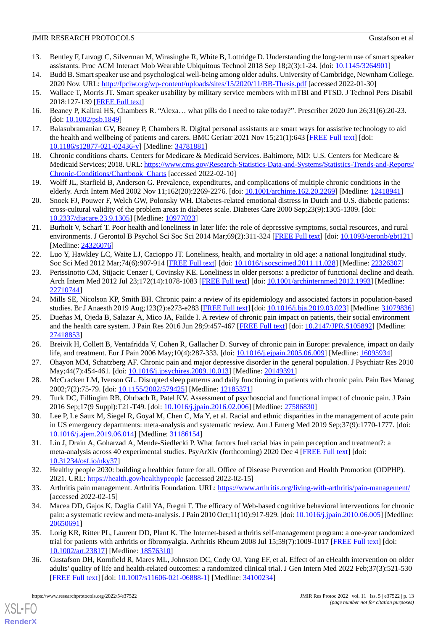- 13. Bentley F, Luvogt C, Silverman M, Wirasinghe R, White B, Lottridge D. Understanding the long-term use of smart speaker assistants. Proc ACM Interact Mob Wearable Ubiquitous Technol 2018 Sep 18;2(3):1-24. [doi: [10.1145/3264901](http://dx.doi.org/10.1145/3264901)]
- <span id="page-12-0"></span>14. Budd B. Smart speaker use and psychological well-being among older adults. University of Cambridge, Newnham College. 2020 Nov. URL: <http://fpciw.org/wp-content/uploads/sites/15/2020/11/BB-Thesis.pdf> [accessed 2022-01-30]
- <span id="page-12-1"></span>15. Wallace T, Morris JT. Smart speaker usability by military service members with mTBI and PTSD. J Technol Pers Disabil 2018:127-139 [\[FREE Full text\]](http://scholarworks.csun.edu/bitstream/handle/10211.3/202991/JTPD-2018-ID16-p127-139.pdf)
- <span id="page-12-2"></span>16. Beaney P, Kalirai HS, Chambers R. "Alexa… what pills do I need to take today?". Prescriber 2020 Jun 26;31(6):20-23. [doi: [10.1002/psb.1849](http://dx.doi.org/10.1002/psb.1849)]
- <span id="page-12-3"></span>17. Balasubramanian GV, Beaney P, Chambers R. Digital personal assistants are smart ways for assistive technology to aid the health and wellbeing of patients and carers. BMC Geriatr 2021 Nov 15;21(1):643 [[FREE Full text](https://bmcgeriatr.biomedcentral.com/articles/10.1186/s12877-021-02436-y)] [doi: [10.1186/s12877-021-02436-y\]](http://dx.doi.org/10.1186/s12877-021-02436-y) [Medline: [34781881\]](http://www.ncbi.nlm.nih.gov/entrez/query.fcgi?cmd=Retrieve&db=PubMed&list_uids=34781881&dopt=Abstract)
- <span id="page-12-4"></span>18. Chronic conditions charts. Centers for Medicare & Medicaid Services. Baltimore, MD: U.S. Centers for Medicare & Medicaid Services; 2018. URL: [https://www.cms.gov/Research-Statistics-Data-and-Systems/Statistics-Trends-and-Reports/](https://www.cms.gov/Research-Statistics-Data-and-Systems/Statistics-Trends-and-Reports/Chronic-Conditions/Chartbook_Charts) [Chronic-Conditions/Chartbook\\_Charts](https://www.cms.gov/Research-Statistics-Data-and-Systems/Statistics-Trends-and-Reports/Chronic-Conditions/Chartbook_Charts) [accessed 2022-02-10]
- <span id="page-12-5"></span>19. Wolff JL, Starfield B, Anderson G. Prevalence, expenditures, and complications of multiple chronic conditions in the elderly. Arch Intern Med 2002 Nov 11;162(20):2269-2276. [doi: [10.1001/archinte.162.20.2269](http://dx.doi.org/10.1001/archinte.162.20.2269)] [Medline: [12418941](http://www.ncbi.nlm.nih.gov/entrez/query.fcgi?cmd=Retrieve&db=PubMed&list_uids=12418941&dopt=Abstract)]
- <span id="page-12-6"></span>20. Snoek FJ, Pouwer F, Welch GW, Polonsky WH. Diabetes-related emotional distress in Dutch and U.S. diabetic patients: cross-cultural validity of the problem areas in diabetes scale. Diabetes Care 2000 Sep;23(9):1305-1309. [doi: [10.2337/diacare.23.9.1305](http://dx.doi.org/10.2337/diacare.23.9.1305)] [Medline: [10977023\]](http://www.ncbi.nlm.nih.gov/entrez/query.fcgi?cmd=Retrieve&db=PubMed&list_uids=10977023&dopt=Abstract)
- 21. Burholt V, Scharf T. Poor health and loneliness in later life: the role of depressive symptoms, social resources, and rural environments. J Gerontol B Psychol Sci Soc Sci 2014 Mar;69(2):311-324 [[FREE Full text](http://europepmc.org/abstract/MED/24326076)] [doi: [10.1093/geronb/gbt121](http://dx.doi.org/10.1093/geronb/gbt121)] [Medline: [24326076](http://www.ncbi.nlm.nih.gov/entrez/query.fcgi?cmd=Retrieve&db=PubMed&list_uids=24326076&dopt=Abstract)]
- <span id="page-12-7"></span>22. Luo Y, Hawkley LC, Waite LJ, Cacioppo JT. Loneliness, health, and mortality in old age: a national longitudinal study. Soc Sci Med 2012 Mar;74(6):907-914 [[FREE Full text](http://europepmc.org/abstract/MED/22326307)] [doi: [10.1016/j.socscimed.2011.11.028](http://dx.doi.org/10.1016/j.socscimed.2011.11.028)] [Medline: [22326307\]](http://www.ncbi.nlm.nih.gov/entrez/query.fcgi?cmd=Retrieve&db=PubMed&list_uids=22326307&dopt=Abstract)
- <span id="page-12-9"></span><span id="page-12-8"></span>23. Perissinotto CM, Stijacic Cenzer I, Covinsky KE. Loneliness in older persons: a predictor of functional decline and death. Arch Intern Med 2012 Jul 23;172(14):1078-1083 [\[FREE Full text\]](http://europepmc.org/abstract/MED/22710744) [doi: [10.1001/archinternmed.2012.1993\]](http://dx.doi.org/10.1001/archinternmed.2012.1993) [Medline: [22710744](http://www.ncbi.nlm.nih.gov/entrez/query.fcgi?cmd=Retrieve&db=PubMed&list_uids=22710744&dopt=Abstract)]
- 24. Mills SE, Nicolson KP, Smith BH. Chronic pain: a review of its epidemiology and associated factors in population-based studies. Br J Anaesth 2019 Aug;123(2):e273-e283 [\[FREE Full text\]](https://linkinghub.elsevier.com/retrieve/pii/S0007-0912(19)30227-2) [doi: [10.1016/j.bja.2019.03.023](http://dx.doi.org/10.1016/j.bja.2019.03.023)] [Medline: [31079836](http://www.ncbi.nlm.nih.gov/entrez/query.fcgi?cmd=Retrieve&db=PubMed&list_uids=31079836&dopt=Abstract)]
- <span id="page-12-11"></span><span id="page-12-10"></span>25. Dueñas M, Ojeda B, Salazar A, Mico JA, Failde I. A review of chronic pain impact on patients, their social environment and the health care system. J Pain Res 2016 Jun 28;9:457-467 [[FREE Full text](https://dx.doi.org/10.2147/JPR.S105892)] [doi: [10.2147/JPR.S105892\]](http://dx.doi.org/10.2147/JPR.S105892) [Medline: [27418853](http://www.ncbi.nlm.nih.gov/entrez/query.fcgi?cmd=Retrieve&db=PubMed&list_uids=27418853&dopt=Abstract)]
- <span id="page-12-12"></span>26. Breivik H, Collett B, Ventafridda V, Cohen R, Gallacher D. Survey of chronic pain in Europe: prevalence, impact on daily life, and treatment. Eur J Pain 2006 May;10(4):287-333. [doi: [10.1016/j.ejpain.2005.06.009](http://dx.doi.org/10.1016/j.ejpain.2005.06.009)] [Medline: [16095934](http://www.ncbi.nlm.nih.gov/entrez/query.fcgi?cmd=Retrieve&db=PubMed&list_uids=16095934&dopt=Abstract)]
- <span id="page-12-13"></span>27. Ohayon MM, Schatzberg AF. Chronic pain and major depressive disorder in the general population. J Psychiatr Res 2010 May;44(7):454-461. [doi: [10.1016/j.jpsychires.2009.10.013](http://dx.doi.org/10.1016/j.jpsychires.2009.10.013)] [Medline: [20149391](http://www.ncbi.nlm.nih.gov/entrez/query.fcgi?cmd=Retrieve&db=PubMed&list_uids=20149391&dopt=Abstract)]
- <span id="page-12-14"></span>28. McCracken LM, Iverson GL. Disrupted sleep patterns and daily functioning in patients with chronic pain. Pain Res Manag 2002;7(2):75-79. [doi: [10.1155/2002/579425](http://dx.doi.org/10.1155/2002/579425)] [Medline: [12185371](http://www.ncbi.nlm.nih.gov/entrez/query.fcgi?cmd=Retrieve&db=PubMed&list_uids=12185371&dopt=Abstract)]
- <span id="page-12-15"></span>29. Turk DC, Fillingim RB, Ohrbach R, Patel KV. Assessment of psychosocial and functional impact of chronic pain. J Pain 2016 Sep;17(9 Suppl):T21-T49. [doi: [10.1016/j.jpain.2016.02.006](http://dx.doi.org/10.1016/j.jpain.2016.02.006)] [Medline: [27586830\]](http://www.ncbi.nlm.nih.gov/entrez/query.fcgi?cmd=Retrieve&db=PubMed&list_uids=27586830&dopt=Abstract)
- <span id="page-12-16"></span>30. Lee P, Le Saux M, Siegel R, Goyal M, Chen C, Ma Y, et al. Racial and ethnic disparities in the management of acute pain in US emergency departments: meta-analysis and systematic review. Am J Emerg Med 2019 Sep;37(9):1770-1777. [doi: [10.1016/j.ajem.2019.06.014](http://dx.doi.org/10.1016/j.ajem.2019.06.014)] [Medline: [31186154\]](http://www.ncbi.nlm.nih.gov/entrez/query.fcgi?cmd=Retrieve&db=PubMed&list_uids=31186154&dopt=Abstract)
- <span id="page-12-17"></span>31. Lin J, Drain A, Goharzad A, Mende-Siedlecki P. What factors fuel racial bias in pain perception and treatment?: a meta-analysis across 40 experimental studies. PsyArXiv (forthcoming) 2020 Dec 4 [\[FREE Full text](https://psyarxiv.com/nky37/download?format=pdf)] [doi: [10.31234/osf.io/nky37\]](http://dx.doi.org/10.31234/osf.io/nky37)
- 32. Healthy people 2030: building a healthier future for all. Office of Disease Prevention and Health Promotion (ODPHP). 2021. URL: <https://health.gov/healthypeople> [accessed 2022-02-15]
- <span id="page-12-18"></span>33. Arthritis pain management. Arthritis Foundation. URL: <https://www.arthritis.org/living-with-arthritis/pain-management/> [accessed 2022-02-15]
- <span id="page-12-19"></span>34. Macea DD, Gajos K, Daglia Calil YA, Fregni F. The efficacy of Web-based cognitive behavioral interventions for chronic pain: a systematic review and meta-analysis. J Pain 2010 Oct;11(10):917-929. [doi: [10.1016/j.jpain.2010.06.005](http://dx.doi.org/10.1016/j.jpain.2010.06.005)] [Medline: [20650691](http://www.ncbi.nlm.nih.gov/entrez/query.fcgi?cmd=Retrieve&db=PubMed&list_uids=20650691&dopt=Abstract)]
- 35. Lorig KR, Ritter PL, Laurent DD, Plant K. The Internet-based arthritis self-management program: a one-year randomized trial for patients with arthritis or fibromyalgia. Arthritis Rheum 2008 Jul 15;59(7):1009-1017 [[FREE Full text](https://doi.org/10.1002/art.23817)] [doi: [10.1002/art.23817\]](http://dx.doi.org/10.1002/art.23817) [Medline: [18576310\]](http://www.ncbi.nlm.nih.gov/entrez/query.fcgi?cmd=Retrieve&db=PubMed&list_uids=18576310&dopt=Abstract)
- 36. Gustafson DH, Kornfield R, Mares ML, Johnston DC, Cody OJ, Yang EF, et al. Effect of an eHealth intervention on older adults' quality of life and health-related outcomes: a randomized clinical trial. J Gen Intern Med 2022 Feb;37(3):521-530 [[FREE Full text](http://europepmc.org/abstract/MED/34100234)] [doi: [10.1007/s11606-021-06888-1\]](http://dx.doi.org/10.1007/s11606-021-06888-1) [Medline: [34100234](http://www.ncbi.nlm.nih.gov/entrez/query.fcgi?cmd=Retrieve&db=PubMed&list_uids=34100234&dopt=Abstract)]

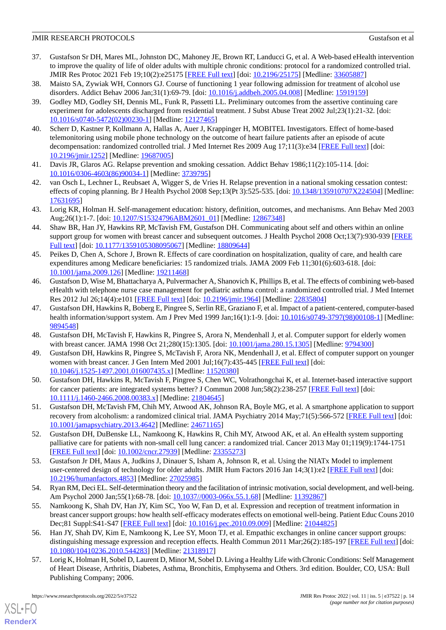- <span id="page-13-0"></span>37. Gustafson Sr DH, Mares ML, Johnston DC, Mahoney JE, Brown RT, Landucci G, et al. A Web-based eHealth intervention to improve the quality of life of older adults with multiple chronic conditions: protocol for a randomized controlled trial. JMIR Res Protoc 2021 Feb 19;10(2):e25175 [\[FREE Full text\]](https://www.researchprotocols.org/2021/2/e25175/) [doi: [10.2196/25175](http://dx.doi.org/10.2196/25175)] [Medline: [33605887](http://www.ncbi.nlm.nih.gov/entrez/query.fcgi?cmd=Retrieve&db=PubMed&list_uids=33605887&dopt=Abstract)]
- <span id="page-13-2"></span><span id="page-13-1"></span>38. Maisto SA, Zywiak WH, Connors GJ. Course of functioning 1 year following admission for treatment of alcohol use disorders. Addict Behav 2006 Jan;31(1):69-79. [doi: [10.1016/j.addbeh.2005.04.008](http://dx.doi.org/10.1016/j.addbeh.2005.04.008)] [Medline: [15919159](http://www.ncbi.nlm.nih.gov/entrez/query.fcgi?cmd=Retrieve&db=PubMed&list_uids=15919159&dopt=Abstract)]
- 39. Godley MD, Godley SH, Dennis ML, Funk R, Passetti LL. Preliminary outcomes from the assertive continuing care experiment for adolescents discharged from residential treatment. J Subst Abuse Treat 2002 Jul;23(1):21-32. [doi: [10.1016/s0740-5472\(02\)00230-1](http://dx.doi.org/10.1016/s0740-5472(02)00230-1)] [Medline: [12127465\]](http://www.ncbi.nlm.nih.gov/entrez/query.fcgi?cmd=Retrieve&db=PubMed&list_uids=12127465&dopt=Abstract)
- <span id="page-13-3"></span>40. Scherr D, Kastner P, Kollmann A, Hallas A, Auer J, Krappinger H, MOBITEL Investigators. Effect of home-based telemonitoring using mobile phone technology on the outcome of heart failure patients after an episode of acute decompensation: randomized controlled trial. J Med Internet Res 2009 Aug 17;11(3):e34 [[FREE Full text](https://www.jmir.org/2009/3/e34/)] [doi: [10.2196/jmir.1252](http://dx.doi.org/10.2196/jmir.1252)] [Medline: [19687005](http://www.ncbi.nlm.nih.gov/entrez/query.fcgi?cmd=Retrieve&db=PubMed&list_uids=19687005&dopt=Abstract)]
- <span id="page-13-5"></span><span id="page-13-4"></span>41. Davis JR, Glaros AG. Relapse prevention and smoking cessation. Addict Behav 1986;11(2):105-114. [doi: [10.1016/0306-4603\(86\)90034-1](http://dx.doi.org/10.1016/0306-4603(86)90034-1)] [Medline: [3739795\]](http://www.ncbi.nlm.nih.gov/entrez/query.fcgi?cmd=Retrieve&db=PubMed&list_uids=3739795&dopt=Abstract)
- <span id="page-13-6"></span>42. van Osch L, Lechner L, Reubsaet A, Wigger S, de Vries H. Relapse prevention in a national smoking cessation contest: effects of coping planning. Br J Health Psychol 2008 Sep;13(Pt 3):525-535. [doi: [10.1348/135910707X224504\]](http://dx.doi.org/10.1348/135910707X224504) [Medline: [17631695](http://www.ncbi.nlm.nih.gov/entrez/query.fcgi?cmd=Retrieve&db=PubMed&list_uids=17631695&dopt=Abstract)]
- <span id="page-13-7"></span>43. Lorig KR, Holman H. Self-management education: history, definition, outcomes, and mechanisms. Ann Behav Med 2003 Aug;26(1):1-7. [doi: [10.1207/S15324796ABM2601\\_01](http://dx.doi.org/10.1207/S15324796ABM2601_01)] [Medline: [12867348](http://www.ncbi.nlm.nih.gov/entrez/query.fcgi?cmd=Retrieve&db=PubMed&list_uids=12867348&dopt=Abstract)]
- <span id="page-13-8"></span>44. Shaw BR, Han JY, Hawkins RP, McTavish FM, Gustafson DH. Communicating about self and others within an online support group for women with breast cancer and subsequent outcomes. J Health Psychol 2008 Oct;13(7):930-939 [\[FREE](http://europepmc.org/abstract/MED/18809644) [Full text\]](http://europepmc.org/abstract/MED/18809644) [doi: [10.1177/1359105308095067](http://dx.doi.org/10.1177/1359105308095067)] [Medline: [18809644](http://www.ncbi.nlm.nih.gov/entrez/query.fcgi?cmd=Retrieve&db=PubMed&list_uids=18809644&dopt=Abstract)]
- <span id="page-13-9"></span>45. Peikes D, Chen A, Schore J, Brown R. Effects of care coordination on hospitalization, quality of care, and health care expenditures among Medicare beneficiaries: 15 randomized trials. JAMA 2009 Feb 11;301(6):603-618. [doi: [10.1001/jama.2009.126](http://dx.doi.org/10.1001/jama.2009.126)] [Medline: [19211468](http://www.ncbi.nlm.nih.gov/entrez/query.fcgi?cmd=Retrieve&db=PubMed&list_uids=19211468&dopt=Abstract)]
- <span id="page-13-10"></span>46. Gustafson D, Wise M, Bhattacharya A, Pulvermacher A, Shanovich K, Phillips B, et al. The effects of combining web-based eHealth with telephone nurse case management for pediatric asthma control: a randomized controlled trial. J Med Internet Res 2012 Jul 26;14(4):e101 [\[FREE Full text\]](https://www.jmir.org/2012/4/e101/) [doi: [10.2196/jmir.1964\]](http://dx.doi.org/10.2196/jmir.1964) [Medline: [22835804](http://www.ncbi.nlm.nih.gov/entrez/query.fcgi?cmd=Retrieve&db=PubMed&list_uids=22835804&dopt=Abstract)]
- <span id="page-13-12"></span><span id="page-13-11"></span>47. Gustafson DH, Hawkins R, Boberg E, Pingree S, Serlin RE, Graziano F, et al. Impact of a patient-centered, computer-based health information/support system. Am J Prev Med 1999 Jan;16(1):1-9. [doi: [10.1016/s0749-3797\(98\)00108-1\]](http://dx.doi.org/10.1016/s0749-3797(98)00108-1) [Medline: [9894548\]](http://www.ncbi.nlm.nih.gov/entrez/query.fcgi?cmd=Retrieve&db=PubMed&list_uids=9894548&dopt=Abstract)
- <span id="page-13-13"></span>48. Gustafson DH, McTavish F, Hawkins R, Pingree S, Arora N, Mendenhall J, et al. Computer support for elderly women with breast cancer. JAMA 1998 Oct 21;280(15):1305. [doi: [10.1001/jama.280.15.1305](http://dx.doi.org/10.1001/jama.280.15.1305)] [Medline: [9794300\]](http://www.ncbi.nlm.nih.gov/entrez/query.fcgi?cmd=Retrieve&db=PubMed&list_uids=9794300&dopt=Abstract)
- 49. Gustafson DH, Hawkins R, Pingree S, McTavish F, Arora NK, Mendenhall J, et al. Effect of computer support on younger women with breast cancer. J Gen Intern Med 2001 Jul;16(7):435-445 [[FREE Full text](https://onlinelibrary.wiley.com/resolve/openurl?genre=article&sid=nlm:pubmed&issn=0884-8734&date=2001&volume=16&issue=7&spage=435)] [doi: [10.1046/j.1525-1497.2001.016007435.x\]](http://dx.doi.org/10.1046/j.1525-1497.2001.016007435.x) [Medline: [11520380\]](http://www.ncbi.nlm.nih.gov/entrez/query.fcgi?cmd=Retrieve&db=PubMed&list_uids=11520380&dopt=Abstract)
- <span id="page-13-15"></span><span id="page-13-14"></span>50. Gustafson DH, Hawkins R, McTavish F, Pingree S, Chen WC, Volrathongchai K, et al. Internet-based interactive support for cancer patients: are integrated systems better? J Commun 2008 Jun;58(2):238-257 [[FREE Full text\]](http://europepmc.org/abstract/MED/21804645) [doi: [10.1111/j.1460-2466.2008.00383.x\]](http://dx.doi.org/10.1111/j.1460-2466.2008.00383.x) [Medline: [21804645\]](http://www.ncbi.nlm.nih.gov/entrez/query.fcgi?cmd=Retrieve&db=PubMed&list_uids=21804645&dopt=Abstract)
- <span id="page-13-16"></span>51. Gustafson DH, McTavish FM, Chih MY, Atwood AK, Johnson RA, Boyle MG, et al. A smartphone application to support recovery from alcoholism: a randomized clinical trial. JAMA Psychiatry 2014 May;71(5):566-572 [[FREE Full text\]](http://europepmc.org/abstract/MED/24671165) [doi: [10.1001/jamapsychiatry.2013.4642](http://dx.doi.org/10.1001/jamapsychiatry.2013.4642)] [Medline: [24671165](http://www.ncbi.nlm.nih.gov/entrez/query.fcgi?cmd=Retrieve&db=PubMed&list_uids=24671165&dopt=Abstract)]
- <span id="page-13-17"></span>52. Gustafson DH, DuBenske LL, Namkoong K, Hawkins R, Chih MY, Atwood AK, et al. An eHealth system supporting palliative care for patients with non-small cell lung cancer: a randomized trial. Cancer 2013 May 01;119(9):1744-1751 [[FREE Full text](https://doi.org/10.1002/cncr.27939)] [doi: [10.1002/cncr.27939\]](http://dx.doi.org/10.1002/cncr.27939) [Medline: [23355273\]](http://www.ncbi.nlm.nih.gov/entrez/query.fcgi?cmd=Retrieve&db=PubMed&list_uids=23355273&dopt=Abstract)
- <span id="page-13-18"></span>53. Gustafson Jr DH, Maus A, Judkins J, Dinauer S, Isham A, Johnson R, et al. Using the NIATx Model to implement user-centered design of technology for older adults. JMIR Hum Factors 2016 Jan 14;3(1):e2 [\[FREE Full text\]](https://humanfactors.jmir.org/2016/1/e2/) [doi: [10.2196/humanfactors.4853\]](http://dx.doi.org/10.2196/humanfactors.4853) [Medline: [27025985](http://www.ncbi.nlm.nih.gov/entrez/query.fcgi?cmd=Retrieve&db=PubMed&list_uids=27025985&dopt=Abstract)]
- <span id="page-13-19"></span>54. Ryan RM, Deci EL. Self-determination theory and the facilitation of intrinsic motivation, social development, and well-being. Am Psychol 2000 Jan;55(1):68-78. [doi: [10.1037//0003-066x.55.1.68\]](http://dx.doi.org/10.1037//0003-066x.55.1.68) [Medline: [11392867\]](http://www.ncbi.nlm.nih.gov/entrez/query.fcgi?cmd=Retrieve&db=PubMed&list_uids=11392867&dopt=Abstract)
- <span id="page-13-20"></span>55. Namkoong K, Shah DV, Han JY, Kim SC, Yoo W, Fan D, et al. Expression and reception of treatment information in breast cancer support groups: how health self-efficacy moderates effects on emotional well-being. Patient Educ Couns 2010 Dec;81 Suppl:S41-S47 [\[FREE Full text\]](http://europepmc.org/abstract/MED/21044825) [doi: [10.1016/j.pec.2010.09.009\]](http://dx.doi.org/10.1016/j.pec.2010.09.009) [Medline: [21044825\]](http://www.ncbi.nlm.nih.gov/entrez/query.fcgi?cmd=Retrieve&db=PubMed&list_uids=21044825&dopt=Abstract)
- 56. Han JY, Shah DV, Kim E, Namkoong K, Lee SY, Moon TJ, et al. Empathic exchanges in online cancer support groups: distinguishing message expression and reception effects. Health Commun 2011 Mar;26(2):185-197 [\[FREE Full text](http://europepmc.org/abstract/MED/21318917)] [doi: [10.1080/10410236.2010.544283\]](http://dx.doi.org/10.1080/10410236.2010.544283) [Medline: [21318917\]](http://www.ncbi.nlm.nih.gov/entrez/query.fcgi?cmd=Retrieve&db=PubMed&list_uids=21318917&dopt=Abstract)
- 57. Lorig K, Holman H, Sobel D, Laurent D, Minor M, Sobel D. Living a Healthy Life with Chronic Conditions: Self Management of Heart Disease, Arthritis, Diabetes, Asthma, Bronchitis, Emphysema and Others. 3rd edition. Boulder, CO, USA: Bull Publishing Company; 2006.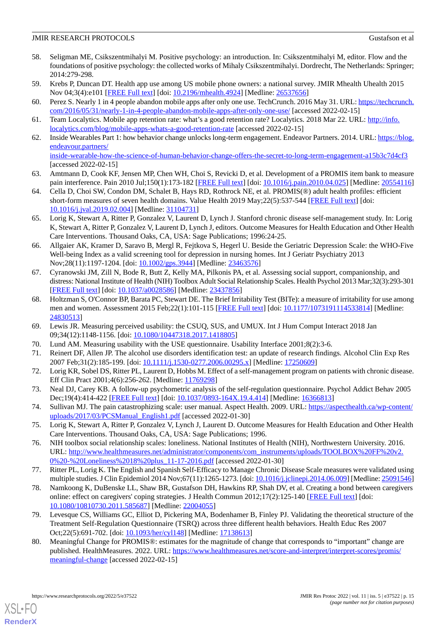- <span id="page-14-0"></span>58. Seligman ME, Csikszentmihalyi M. Positive psychology: an introduction. In: Csikszentmihalyi M, editor. Flow and the foundations of positive psychology: the collected works of Mihaly Csikszentmihalyi. Dordrecht, The Netherlands: Springer; 2014:279-298.
- <span id="page-14-1"></span>59. Krebs P, Duncan DT. Health app use among US mobile phone owners: a national survey. JMIR Mhealth Uhealth 2015 Nov 04;3(4):e101 [[FREE Full text](https://mhealth.jmir.org/2015/4/e101/)] [doi: [10.2196/mhealth.4924](http://dx.doi.org/10.2196/mhealth.4924)] [Medline: [26537656\]](http://www.ncbi.nlm.nih.gov/entrez/query.fcgi?cmd=Retrieve&db=PubMed&list_uids=26537656&dopt=Abstract)
- 60. Perez S. Nearly 1 in 4 people abandon mobile apps after only one use. TechCrunch. 2016 May 31. URL: [https://techcrunch.](https://techcrunch.com/2016/05/31/nearly-1-in-4-people-abandon-mobile-apps-after-only-one-use/) [com/2016/05/31/nearly-1-in-4-people-abandon-mobile-apps-after-only-one-use/](https://techcrunch.com/2016/05/31/nearly-1-in-4-people-abandon-mobile-apps-after-only-one-use/) [accessed 2022-02-15]
- <span id="page-14-2"></span>61. Team Localytics. Mobile app retention rate: what's a good retention rate? Localytics. 2018 Mar 22. URL: [http://info.](http://info.localytics.com/blog/mobile-apps-whats-a-good-retention-rate) [localytics.com/blog/mobile-apps-whats-a-good-retention-rate](http://info.localytics.com/blog/mobile-apps-whats-a-good-retention-rate) [accessed 2022-02-15]
- 62. Inside Wearables Part 1: how behavior change unlocks long-term engagement. Endeavor Partners. 2014. URL: [https://blog.](https://blog.endeavour.partners/inside-wearable-how-the-science-of-human-behavior-change-offers-the-secret-to-long-term-engagement-a15b3c7d4cf3) [endeavour.partners/](https://blog.endeavour.partners/inside-wearable-how-the-science-of-human-behavior-change-offers-the-secret-to-long-term-engagement-a15b3c7d4cf3)

<span id="page-14-3"></span>[inside-wearable-how-the-science-of-human-behavior-change-offers-the-secret-to-long-term-engagement-a15b3c7d4cf3](https://blog.endeavour.partners/inside-wearable-how-the-science-of-human-behavior-change-offers-the-secret-to-long-term-engagement-a15b3c7d4cf3) [accessed 2022-02-15]

- <span id="page-14-4"></span>63. Amtmann D, Cook KF, Jensen MP, Chen WH, Choi S, Revicki D, et al. Development of a PROMIS item bank to measure pain interference. Pain 2010 Jul;150(1):173-182 [\[FREE Full text](http://europepmc.org/abstract/MED/20554116)] [doi: [10.1016/j.pain.2010.04.025\]](http://dx.doi.org/10.1016/j.pain.2010.04.025) [Medline: [20554116](http://www.ncbi.nlm.nih.gov/entrez/query.fcgi?cmd=Retrieve&db=PubMed&list_uids=20554116&dopt=Abstract)]
- <span id="page-14-5"></span>64. Cella D, Choi SW, Condon DM, Schalet B, Hays RD, Rothrock NE, et al. PROMIS(®) adult health profiles: efficient short-form measures of seven health domains. Value Health 2019 May;22(5):537-544 [[FREE Full text](https://linkinghub.elsevier.com/retrieve/pii/S1098-3015(19)30118-4)] [doi: [10.1016/j.jval.2019.02.004](http://dx.doi.org/10.1016/j.jval.2019.02.004)] [Medline: [31104731](http://www.ncbi.nlm.nih.gov/entrez/query.fcgi?cmd=Retrieve&db=PubMed&list_uids=31104731&dopt=Abstract)]
- <span id="page-14-6"></span>65. Lorig K, Stewart A, Ritter P, Gonzalez V, Laurent D, Lynch J. Stanford chronic disease self-management study. In: Lorig K, Stewart A, Ritter P, Gonzalez V, Laurent D, Lynch J, editors. Outcome Measures for Health Education and Other Health Care Interventions. Thousand Oaks, CA, USA: Sage Publications; 1996:24-25.
- <span id="page-14-7"></span>66. Allgaier AK, Kramer D, Saravo B, Mergl R, Fejtkova S, Hegerl U. Beside the Geriatric Depression Scale: the WHO-Five Well-being Index as a valid screening tool for depression in nursing homes. Int J Geriatr Psychiatry 2013 Nov;28(11):1197-1204. [doi: [10.1002/gps.3944](http://dx.doi.org/10.1002/gps.3944)] [Medline: [23463576\]](http://www.ncbi.nlm.nih.gov/entrez/query.fcgi?cmd=Retrieve&db=PubMed&list_uids=23463576&dopt=Abstract)
- <span id="page-14-8"></span>67. Cyranowski JM, Zill N, Bode R, Butt Z, Kelly MA, Pilkonis PA, et al. Assessing social support, companionship, and distress: National Institute of Health (NIH) Toolbox Adult Social Relationship Scales. Health Psychol 2013 Mar;32(3):293-301 [[FREE Full text](http://europepmc.org/abstract/MED/23437856)] [doi: [10.1037/a0028586](http://dx.doi.org/10.1037/a0028586)] [Medline: [23437856\]](http://www.ncbi.nlm.nih.gov/entrez/query.fcgi?cmd=Retrieve&db=PubMed&list_uids=23437856&dopt=Abstract)
- <span id="page-14-10"></span><span id="page-14-9"></span>68. Holtzman S, O'Connor BP, Barata PC, Stewart DE. The Brief Irritability Test (BITe): a measure of irritability for use among men and women. Assessment 2015 Feb; 22(1):101-115 [\[FREE Full text\]](http://europepmc.org/abstract/MED/24830513) [doi: [10.1177/1073191114533814](http://dx.doi.org/10.1177/1073191114533814)] [Medline: [24830513](http://www.ncbi.nlm.nih.gov/entrez/query.fcgi?cmd=Retrieve&db=PubMed&list_uids=24830513&dopt=Abstract)]
- <span id="page-14-12"></span><span id="page-14-11"></span>69. Lewis JR. Measuring perceived usability: the CSUQ, SUS, and UMUX. Int J Hum Comput Interact 2018 Jan 09;34(12):1148-1156. [doi: [10.1080/10447318.2017.1418805\]](http://dx.doi.org/10.1080/10447318.2017.1418805)
- 70. Lund AM. Measuring usability with the USE questionnaire. Usability Interface 2001;8(2):3-6.
- <span id="page-14-13"></span>71. Reinert DF, Allen JP. The alcohol use disorders identification test: an update of research findings. Alcohol Clin Exp Res 2007 Feb;31(2):185-199. [doi: [10.1111/j.1530-0277.2006.00295.x](http://dx.doi.org/10.1111/j.1530-0277.2006.00295.x)] [Medline: [17250609](http://www.ncbi.nlm.nih.gov/entrez/query.fcgi?cmd=Retrieve&db=PubMed&list_uids=17250609&dopt=Abstract)]
- <span id="page-14-14"></span>72. Lorig KR, Sobel DS, Ritter PL, Laurent D, Hobbs M. Effect of a self-management program on patients with chronic disease. Eff Clin Pract 2001;4(6):256-262. [Medline: [11769298\]](http://www.ncbi.nlm.nih.gov/entrez/query.fcgi?cmd=Retrieve&db=PubMed&list_uids=11769298&dopt=Abstract)
- <span id="page-14-15"></span>73. Neal DJ, Carey KB. A follow-up psychometric analysis of the self-regulation questionnaire. Psychol Addict Behav 2005 Dec;19(4):414-422 [\[FREE Full text](http://europepmc.org/abstract/MED/16366813)] [doi: [10.1037/0893-164X.19.4.414\]](http://dx.doi.org/10.1037/0893-164X.19.4.414) [Medline: [16366813\]](http://www.ncbi.nlm.nih.gov/entrez/query.fcgi?cmd=Retrieve&db=PubMed&list_uids=16366813&dopt=Abstract)
- <span id="page-14-16"></span>74. Sullivan MJ. The pain catastrophizing scale: user manual. Aspect Health. 2009. URL: [https://aspecthealth.ca/wp-content/](https://aspecthealth.ca/wp-content/uploads/2017/03/PCSManual_English1.pdf) [uploads/2017/03/PCSManual\\_English1.pdf](https://aspecthealth.ca/wp-content/uploads/2017/03/PCSManual_English1.pdf) [accessed 2022-01-30]
- <span id="page-14-17"></span>75. Lorig K, Stewart A, Ritter P, Gonzalez V, Lynch J, Laurent D. Outcome Measures for Health Education and Other Health Care Interventions. Thousand Oaks, CA, USA: Sage Publications; 1996.
- <span id="page-14-18"></span>76. NIH toolbox social relationship scales: loneliness. National Institutes of Health (NIH), Northwestern University. 2016. URL: [http://www.healthmeasures.net/administrator/components/com\\_instruments/uploads/TOOLBOX%20FF%20v2.](http://www.healthmeasures.net/administrator/components/com_instruments/uploads/TOOLBOX%20FF%20v2.0%20-%20Loneliness%2018%20plus_11-17-2016.pdf) [0%20-%20Loneliness%2018%20plus\\_11-17-2016.pdf](http://www.healthmeasures.net/administrator/components/com_instruments/uploads/TOOLBOX%20FF%20v2.0%20-%20Loneliness%2018%20plus_11-17-2016.pdf) [accessed 2022-01-30]
- <span id="page-14-19"></span>77. Ritter PL, Lorig K. The English and Spanish Self-Efficacy to Manage Chronic Disease Scale measures were validated using multiple studies. J Clin Epidemiol 2014 Nov;67(11):1265-1273. [doi: [10.1016/j.jclinepi.2014.06.009](http://dx.doi.org/10.1016/j.jclinepi.2014.06.009)] [Medline: [25091546](http://www.ncbi.nlm.nih.gov/entrez/query.fcgi?cmd=Retrieve&db=PubMed&list_uids=25091546&dopt=Abstract)]
- <span id="page-14-20"></span>78. Namkoong K, DuBenske LL, Shaw BR, Gustafson DH, Hawkins RP, Shah DV, et al. Creating a bond between caregivers online: effect on caregivers' coping strategies. J Health Commun 2012;17(2):125-140 [\[FREE Full text\]](http://europepmc.org/abstract/MED/22004055) [doi: [10.1080/10810730.2011.585687\]](http://dx.doi.org/10.1080/10810730.2011.585687) [Medline: [22004055\]](http://www.ncbi.nlm.nih.gov/entrez/query.fcgi?cmd=Retrieve&db=PubMed&list_uids=22004055&dopt=Abstract)
- 79. Levesque CS, Williams GC, Elliot D, Pickering MA, Bodenhamer B, Finley PJ. Validating the theoretical structure of the Treatment Self-Regulation Questionnaire (TSRQ) across three different health behaviors. Health Educ Res 2007 Oct;22(5):691-702. [doi: [10.1093/her/cyl148\]](http://dx.doi.org/10.1093/her/cyl148) [Medline: [17138613\]](http://www.ncbi.nlm.nih.gov/entrez/query.fcgi?cmd=Retrieve&db=PubMed&list_uids=17138613&dopt=Abstract)
- 80. Meaningful Change for PROMIS®: estimates for the magnitude of change that corresponds to "important" change are published. HealthMeasures. 2022. URL: [https://www.healthmeasures.net/score-and-interpret/interpret-scores/promis/](https://www.healthmeasures.net/score-and-interpret/interpret-scores/promis/meaningful-change) [meaningful-change](https://www.healthmeasures.net/score-and-interpret/interpret-scores/promis/meaningful-change) [accessed 2022-02-15]